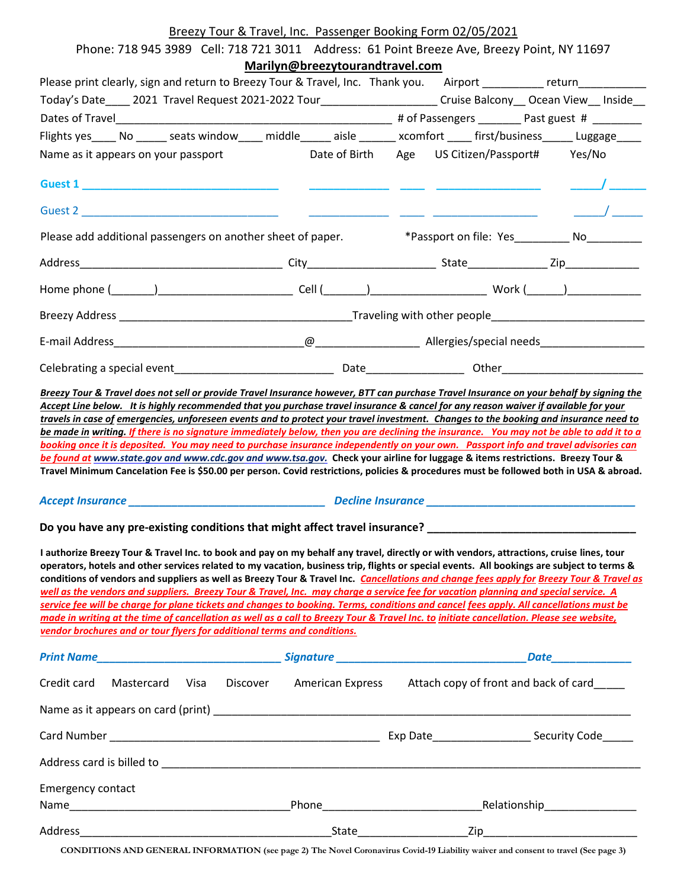### Breezy Tour & Travel, Inc. Passenger Booking Form 02/05/2021

| Phone: 718 945 3989 Cell: 718 721 3011 Address: 61 Point Breeze Ave, Breezy Point, NY 11697                                                                                                                                                                                                                                                                                                                                                                                                                                                                                                                                                                                                                                                                                                                                                                                                                                                  | Marilyn@breezytourandtravel.com |                                                                                 |                                                                                                                                                                                                                                                                                                                     |  |
|----------------------------------------------------------------------------------------------------------------------------------------------------------------------------------------------------------------------------------------------------------------------------------------------------------------------------------------------------------------------------------------------------------------------------------------------------------------------------------------------------------------------------------------------------------------------------------------------------------------------------------------------------------------------------------------------------------------------------------------------------------------------------------------------------------------------------------------------------------------------------------------------------------------------------------------------|---------------------------------|---------------------------------------------------------------------------------|---------------------------------------------------------------------------------------------------------------------------------------------------------------------------------------------------------------------------------------------------------------------------------------------------------------------|--|
| Please print clearly, sign and return to Breezy Tour & Travel, Inc. Thank you. Airport _________ return__________                                                                                                                                                                                                                                                                                                                                                                                                                                                                                                                                                                                                                                                                                                                                                                                                                            |                                 |                                                                                 |                                                                                                                                                                                                                                                                                                                     |  |
| Today's Date____ 2021 Travel Request 2021-2022 Tour________________________Cruise Balcony__ Ocean View__ Inside__                                                                                                                                                                                                                                                                                                                                                                                                                                                                                                                                                                                                                                                                                                                                                                                                                            |                                 |                                                                                 |                                                                                                                                                                                                                                                                                                                     |  |
|                                                                                                                                                                                                                                                                                                                                                                                                                                                                                                                                                                                                                                                                                                                                                                                                                                                                                                                                              |                                 |                                                                                 |                                                                                                                                                                                                                                                                                                                     |  |
| Flights yes_____ No ______ seats window_____ middle______ aisle _______ xcomfort _____ first/business______ Luggage_____                                                                                                                                                                                                                                                                                                                                                                                                                                                                                                                                                                                                                                                                                                                                                                                                                     |                                 |                                                                                 |                                                                                                                                                                                                                                                                                                                     |  |
| Name as it appears on your passport Date of Birth Age US Citizen/Passport# Yes/No                                                                                                                                                                                                                                                                                                                                                                                                                                                                                                                                                                                                                                                                                                                                                                                                                                                            |                                 |                                                                                 |                                                                                                                                                                                                                                                                                                                     |  |
|                                                                                                                                                                                                                                                                                                                                                                                                                                                                                                                                                                                                                                                                                                                                                                                                                                                                                                                                              |                                 |                                                                                 | $\frac{1}{2}$ $\frac{1}{2}$ $\frac{1}{2}$ $\frac{1}{2}$ $\frac{1}{2}$ $\frac{1}{2}$ $\frac{1}{2}$ $\frac{1}{2}$ $\frac{1}{2}$ $\frac{1}{2}$ $\frac{1}{2}$ $\frac{1}{2}$ $\frac{1}{2}$ $\frac{1}{2}$ $\frac{1}{2}$ $\frac{1}{2}$ $\frac{1}{2}$ $\frac{1}{2}$ $\frac{1}{2}$ $\frac{1}{2}$ $\frac{1}{2}$ $\frac{1}{2}$ |  |
|                                                                                                                                                                                                                                                                                                                                                                                                                                                                                                                                                                                                                                                                                                                                                                                                                                                                                                                                              |                                 |                                                                                 | $\frac{\alpha}{\alpha}$                                                                                                                                                                                                                                                                                             |  |
| Please add additional passengers on another sheet of paper.                                                                                                                                                                                                                                                                                                                                                                                                                                                                                                                                                                                                                                                                                                                                                                                                                                                                                  |                                 | *Passport on file: Yes____________ No__________                                 |                                                                                                                                                                                                                                                                                                                     |  |
|                                                                                                                                                                                                                                                                                                                                                                                                                                                                                                                                                                                                                                                                                                                                                                                                                                                                                                                                              |                                 |                                                                                 |                                                                                                                                                                                                                                                                                                                     |  |
|                                                                                                                                                                                                                                                                                                                                                                                                                                                                                                                                                                                                                                                                                                                                                                                                                                                                                                                                              |                                 |                                                                                 |                                                                                                                                                                                                                                                                                                                     |  |
|                                                                                                                                                                                                                                                                                                                                                                                                                                                                                                                                                                                                                                                                                                                                                                                                                                                                                                                                              |                                 |                                                                                 |                                                                                                                                                                                                                                                                                                                     |  |
|                                                                                                                                                                                                                                                                                                                                                                                                                                                                                                                                                                                                                                                                                                                                                                                                                                                                                                                                              |                                 |                                                                                 |                                                                                                                                                                                                                                                                                                                     |  |
|                                                                                                                                                                                                                                                                                                                                                                                                                                                                                                                                                                                                                                                                                                                                                                                                                                                                                                                                              |                                 |                                                                                 |                                                                                                                                                                                                                                                                                                                     |  |
| booking once it is deposited. You may need to purchase insurance independently on your own. Passport info and travel advisories can<br>be found at www.state.gov and www.cdc.gov and www.tsa.gov. Check your airline for luggage & items restrictions. Breezy Tour &<br>Travel Minimum Cancelation Fee is \$50.00 per person. Covid restrictions, policies & procedures must be followed both in USA & abroad.                                                                                                                                                                                                                                                                                                                                                                                                                                                                                                                               |                                 |                                                                                 |                                                                                                                                                                                                                                                                                                                     |  |
|                                                                                                                                                                                                                                                                                                                                                                                                                                                                                                                                                                                                                                                                                                                                                                                                                                                                                                                                              |                                 |                                                                                 |                                                                                                                                                                                                                                                                                                                     |  |
| Do you have any pre-existing conditions that might affect travel insurance? __________________________________                                                                                                                                                                                                                                                                                                                                                                                                                                                                                                                                                                                                                                                                                                                                                                                                                               |                                 |                                                                                 |                                                                                                                                                                                                                                                                                                                     |  |
| I authorize Breezy Tour & Travel Inc. to book and pay on my behalf any travel, directly or with vendors, attractions, cruise lines, tour<br>operators, hotels and other services related to my vacation, business trip, flights or special events. All bookings are subject to terms &<br>conditions of vendors and suppliers as well as Breezy Tour & Travel Inc. Cancellations and change fees apply for Breezy Tour & Travel as<br>well as the vendors and suppliers. Breezy Tour & Travel, Inc. may charge a service fee for vacation planning and special service. A<br>service fee will be charge for plane tickets and changes to booking. Terms, conditions and cancel fees apply. All cancellations must be<br>made in writing at the time of cancellation as well as a call to Breezy Tour & Travel Inc. to initiate cancellation. Please see website,<br>vendor brochures and or tour flyers for additional terms and conditions. |                                 |                                                                                 |                                                                                                                                                                                                                                                                                                                     |  |
| Print Name_______________________________Signature ______________________________Date ______________                                                                                                                                                                                                                                                                                                                                                                                                                                                                                                                                                                                                                                                                                                                                                                                                                                         |                                 |                                                                                 |                                                                                                                                                                                                                                                                                                                     |  |
| Credit card                                                                                                                                                                                                                                                                                                                                                                                                                                                                                                                                                                                                                                                                                                                                                                                                                                                                                                                                  |                                 | Mastercard Visa Discover American Express Attach copy of front and back of card |                                                                                                                                                                                                                                                                                                                     |  |
| Name as it appears on card (print) example and the contract of the contract of the contract of the contract of                                                                                                                                                                                                                                                                                                                                                                                                                                                                                                                                                                                                                                                                                                                                                                                                                               |                                 |                                                                                 |                                                                                                                                                                                                                                                                                                                     |  |
|                                                                                                                                                                                                                                                                                                                                                                                                                                                                                                                                                                                                                                                                                                                                                                                                                                                                                                                                              |                                 |                                                                                 |                                                                                                                                                                                                                                                                                                                     |  |
|                                                                                                                                                                                                                                                                                                                                                                                                                                                                                                                                                                                                                                                                                                                                                                                                                                                                                                                                              |                                 |                                                                                 |                                                                                                                                                                                                                                                                                                                     |  |
| <b>Emergency contact</b>                                                                                                                                                                                                                                                                                                                                                                                                                                                                                                                                                                                                                                                                                                                                                                                                                                                                                                                     |                                 |                                                                                 |                                                                                                                                                                                                                                                                                                                     |  |
|                                                                                                                                                                                                                                                                                                                                                                                                                                                                                                                                                                                                                                                                                                                                                                                                                                                                                                                                              |                                 |                                                                                 |                                                                                                                                                                                                                                                                                                                     |  |
|                                                                                                                                                                                                                                                                                                                                                                                                                                                                                                                                                                                                                                                                                                                                                                                                                                                                                                                                              |                                 |                                                                                 |                                                                                                                                                                                                                                                                                                                     |  |

**CONDITIONS AND GENERAL INFORMATION (see page 2) The Novel Coronavirus Covid-19 Liability waiver and consent to travel (See page 3)**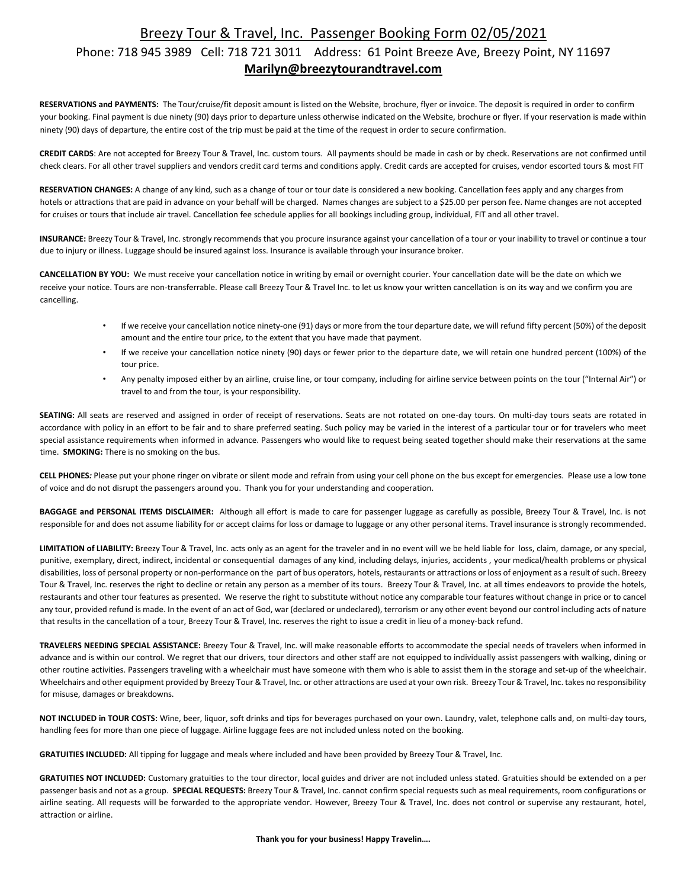## Breezy Tour & Travel, Inc. Passenger Booking Form 02/05/2021

#### Phone: 718 945 3989 Cell: 718 721 3011 Address: 61 Point Breeze Ave, Breezy Point, NY 11697 **Marilyn@breezytourandtravel.com**

**RESERVATIONS and PAYMENTS:** The Tour/cruise/fit deposit amount is listed on the Website, brochure, flyer or invoice. The deposit is required in order to confirm your booking. Final payment is due ninety (90) days prior to departure unless otherwise indicated on the Website, brochure or flyer. If your reservation is made within ninety (90) days of departure, the entire cost of the trip must be paid at the time of the request in order to secure confirmation.

**CREDIT CARDS**: Are not accepted for Breezy Tour & Travel, Inc. custom tours. All payments should be made in cash or by check. Reservations are not confirmed until check clears. For all other travel suppliers and vendors credit card terms and conditions apply. Credit cards are accepted for cruises, vendor escorted tours & most FIT

**RESERVATION CHANGES:** A change of any kind, such as a change of tour or tour date is considered a new booking. Cancellation fees apply and any charges from hotels or attractions that are paid in advance on your behalf will be charged. Names changes are subject to a \$25.00 per person fee. Name changes are not accepted for cruises or tours that include air travel. Cancellation fee schedule applies for all bookings including group, individual, FIT and all other travel.

**INSURANCE:** Breezy Tour & Travel, Inc. strongly recommends that you procure insurance against your cancellation of a tour or your inability to travel or continue a tour due to injury or illness. Luggage should be insured against loss. Insurance is available through your insurance broker.

**CANCELLATION BY YOU:** We must receive your cancellation notice in writing by email or overnight courier. Your cancellation date will be the date on which we receive your notice. Tours are non-transferrable. Please call Breezy Tour & Travel Inc. to let us know your written cancellation is on its way and we confirm you are cancelling.

- If we receive your cancellation notice ninety-one (91) days or more from the tour departure date, we will refund fifty percent (50%) of the deposit amount and the entire tour price, to the extent that you have made that payment.
- If we receive your cancellation notice ninety (90) days or fewer prior to the departure date, we will retain one hundred percent (100%) of the tour price.
- Any penalty imposed either by an airline, cruise line, or tour company, including for airline service between points on the tour ("Internal Air") or travel to and from the tour, is your responsibility.

**SEATING:** All seats are reserved and assigned in order of receipt of reservations. Seats are not rotated on one-day tours. On multi-day tours seats are rotated in accordance with policy in an effort to be fair and to share preferred seating. Such policy may be varied in the interest of a particular tour or for travelers who meet special assistance requirements when informed in advance. Passengers who would like to request being seated together should make their reservations at the same time. **SMOKING:** There is no smoking on the bus.

**CELL PHONES***:* Please put your phone ringer on vibrate or silent mode and refrain from using your cell phone on the bus except for emergencies. Please use a low tone of voice and do not disrupt the passengers around you. Thank you for your understanding and cooperation.

**BAGGAGE and PERSONAL ITEMS DISCLAIMER:** Although all effort is made to care for passenger luggage as carefully as possible, Breezy Tour & Travel, Inc. is not responsible for and does not assume liability for or accept claims for loss or damage to luggage or any other personal items. Travel insurance is strongly recommended.

**LIMITATION of LIABILITY:** Breezy Tour & Travel, Inc. acts only as an agent for the traveler and in no event will we be held liable for loss, claim, damage, or any special, punitive, exemplary, direct, indirect, incidental or consequential damages of any kind, including delays, injuries, accidents , your medical/health problems or physical disabilities, loss of personal property or non-performance on the part of bus operators, hotels, restaurants or attractions or loss of enjoyment as a result of such. Breezy Tour & Travel, Inc. reserves the right to decline or retain any person as a member of its tours. Breezy Tour & Travel, Inc. at all times endeavors to provide the hotels, restaurants and other tour features as presented. We reserve the right to substitute without notice any comparable tour features without change in price or to cancel any tour, provided refund is made. In the event of an act of God, war (declared or undeclared), terrorism or any other event beyond our control including acts of nature that results in the cancellation of a tour, Breezy Tour & Travel, Inc. reserves the right to issue a credit in lieu of a money-back refund.

**TRAVELERS NEEDING SPECIAL ASSISTANCE:** Breezy Tour & Travel, Inc. will make reasonable efforts to accommodate the special needs of travelers when informed in advance and is within our control. We regret that our drivers, tour directors and other staff are not equipped to individually assist passengers with walking, dining or other routine activities. Passengers traveling with a wheelchair must have someone with them who is able to assist them in the storage and set-up of the wheelchair. Wheelchairs and other equipment provided by Breezy Tour & Travel, Inc. or other attractions are used at your own risk. Breezy Tour & Travel, Inc. takes no responsibility for misuse, damages or breakdowns.

**NOT INCLUDED in TOUR COSTS:** Wine, beer, liquor, soft drinks and tips for beverages purchased on your own. Laundry, valet, telephone calls and, on multi-day tours, handling fees for more than one piece of luggage. Airline luggage fees are not included unless noted on the booking.

**GRATUITIES INCLUDED:** All tipping for luggage and meals where included and have been provided by Breezy Tour & Travel, Inc.

**GRATUITIES NOT INCLUDED:** Customary gratuities to the tour director, local guides and driver are not included unless stated. Gratuities should be extended on a per passenger basis and not as a group. **SPECIAL REQUESTS:** Breezy Tour & Travel, Inc. cannot confirm special requests such as meal requirements, room configurations or airline seating. All requests will be forwarded to the appropriate vendor. However, Breezy Tour & Travel, Inc. does not control or supervise any restaurant, hotel, attraction or airline.

**Thank you for your business! Happy Travelin….**